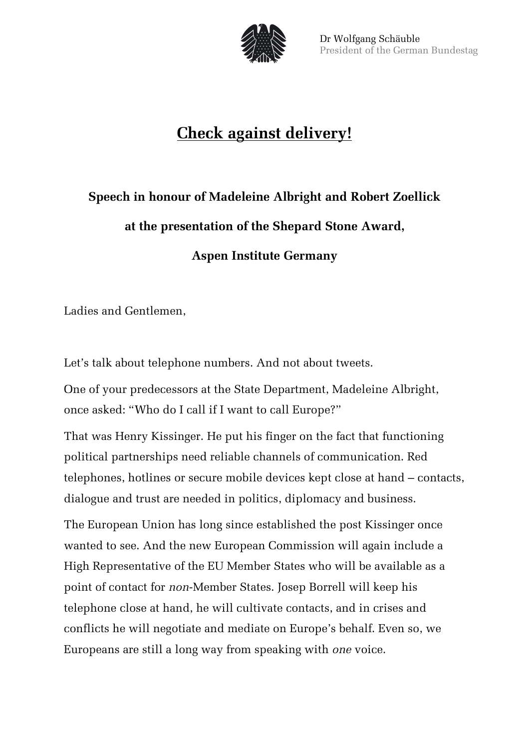

## **Check against delivery!**

## **Speech in honour of Madeleine Albright and Robert Zoellick at the presentation of the Shepard Stone Award, Aspen Institute Germany**

Ladies and Gentlemen,

Let's talk about telephone numbers. And not about tweets.

One of your predecessors at the State Department, Madeleine Albright, once asked: "Who do I call if I want to call Europe?"

That was Henry Kissinger. He put his finger on the fact that functioning political partnerships need reliable channels of communication. Red telephones, hotlines or secure mobile devices kept close at hand – contacts, dialogue and trust are needed in politics, diplomacy and business.

The European Union has long since established the post Kissinger once wanted to see. And the new European Commission will again include a High Representative of the EU Member States who will be available as a point of contact for *non*-Member States. Josep Borrell will keep his telephone close at hand, he will cultivate contacts, and in crises and conflicts he will negotiate and mediate on Europe's behalf. Even so, we Europeans are still a long way from speaking with *one* voice.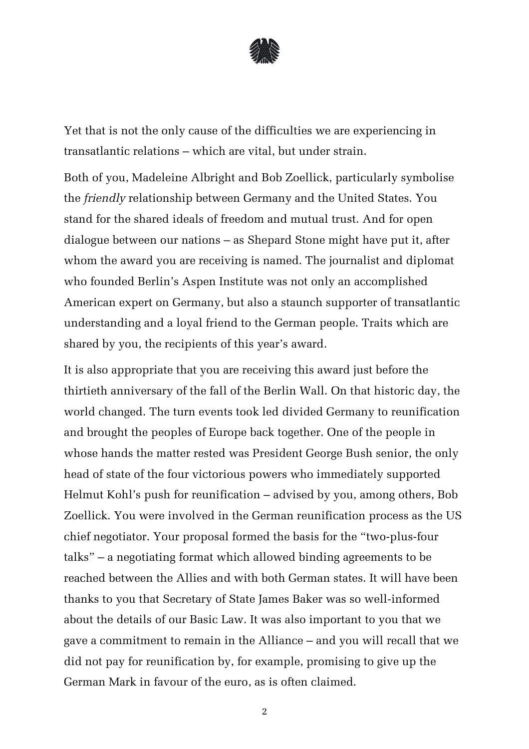

Yet that is not the only cause of the difficulties we are experiencing in transatlantic relations – which are vital, but under strain.

Both of you, Madeleine Albright and Bob Zoellick, particularly symbolise the *friendly* relationship between Germany and the United States. You stand for the shared ideals of freedom and mutual trust. And for open dialogue between our nations – as Shepard Stone might have put it, after whom the award you are receiving is named. The journalist and diplomat who founded Berlin's Aspen Institute was not only an accomplished American expert on Germany, but also a staunch supporter of transatlantic understanding and a loyal friend to the German people. Traits which are shared by you, the recipients of this year's award.

It is also appropriate that you are receiving this award just before the thirtieth anniversary of the fall of the Berlin Wall. On that historic day, the world changed. The turn events took led divided Germany to reunification and brought the peoples of Europe back together. One of the people in whose hands the matter rested was President George Bush senior, the only head of state of the four victorious powers who immediately supported Helmut Kohl's push for reunification – advised by you, among others, Bob Zoellick. You were involved in the German reunification process as the US chief negotiator. Your proposal formed the basis for the "two-plus-four talks" – a negotiating format which allowed binding agreements to be reached between the Allies and with both German states. It will have been thanks to you that Secretary of State James Baker was so well-informed about the details of our Basic Law. It was also important to you that we gave a commitment to remain in the Alliance – and you will recall that we did not pay for reunification by, for example, promising to give up the German Mark in favour of the euro, as is often claimed.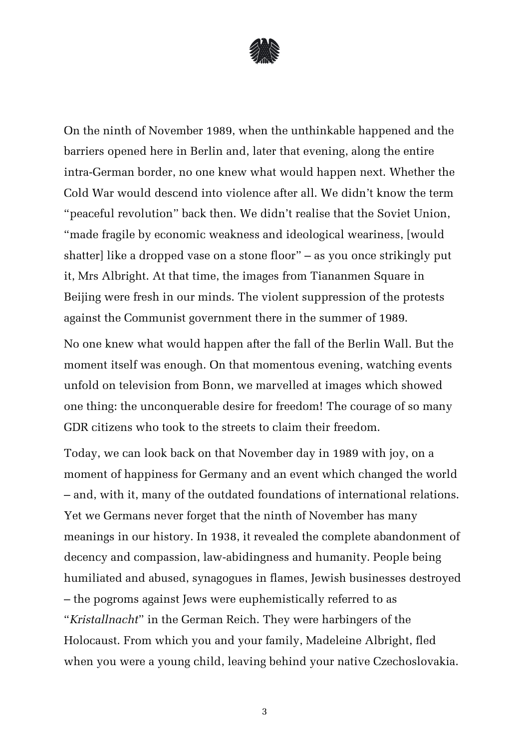

On the ninth of November 1989, when the unthinkable happened and the barriers opened here in Berlin and, later that evening, along the entire intra-German border, no one knew what would happen next. Whether the Cold War would descend into violence after all. We didn't know the term "peaceful revolution" back then. We didn't realise that the Soviet Union, "made fragile by economic weakness and ideological weariness, [would shatter] like a dropped vase on a stone floor" – as you once strikingly put it, Mrs Albright. At that time, the images from Tiananmen Square in Beijing were fresh in our minds. The violent suppression of the protests against the Communist government there in the summer of 1989.

No one knew what would happen after the fall of the Berlin Wall. But the moment itself was enough. On that momentous evening, watching events unfold on television from Bonn, we marvelled at images which showed one thing: the unconquerable desire for freedom! The courage of so many GDR citizens who took to the streets to claim their freedom.

Today, we can look back on that November day in 1989 with joy, on a moment of happiness for Germany and an event which changed the world – and, with it, many of the outdated foundations of international relations. Yet we Germans never forget that the ninth of November has many meanings in our history. In 1938, it revealed the complete abandonment of decency and compassion, law-abidingness and humanity. People being humiliated and abused, synagogues in flames, Jewish businesses destroyed – the pogroms against Jews were euphemistically referred to as "*Kristallnacht*" in the German Reich. They were harbingers of the Holocaust. From which you and your family, Madeleine Albright, fled when you were a young child, leaving behind your native Czechoslovakia.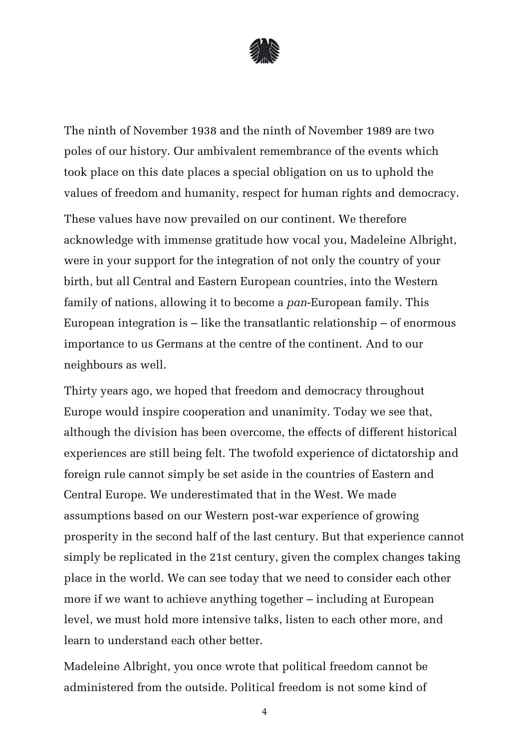

The ninth of November 1938 and the ninth of November 1989 are two poles of our history. Our ambivalent remembrance of the events which took place on this date places a special obligation on us to uphold the values of freedom and humanity, respect for human rights and democracy. These values have now prevailed on our continent. We therefore acknowledge with immense gratitude how vocal you, Madeleine Albright, were in your support for the integration of not only the country of your birth, but all Central and Eastern European countries, into the Western family of nations, allowing it to become a *pan*-European family. This European integration is – like the transatlantic relationship – of enormous importance to us Germans at the centre of the continent. And to our neighbours as well.

Thirty years ago, we hoped that freedom and democracy throughout Europe would inspire cooperation and unanimity. Today we see that, although the division has been overcome, the effects of different historical experiences are still being felt. The twofold experience of dictatorship and foreign rule cannot simply be set aside in the countries of Eastern and Central Europe. We underestimated that in the West. We made assumptions based on our Western post-war experience of growing prosperity in the second half of the last century. But that experience cannot simply be replicated in the 21st century, given the complex changes taking place in the world. We can see today that we need to consider each other more if we want to achieve anything together – including at European level, we must hold more intensive talks, listen to each other more, and learn to understand each other better.

Madeleine Albright, you once wrote that political freedom cannot be administered from the outside. Political freedom is not some kind of

4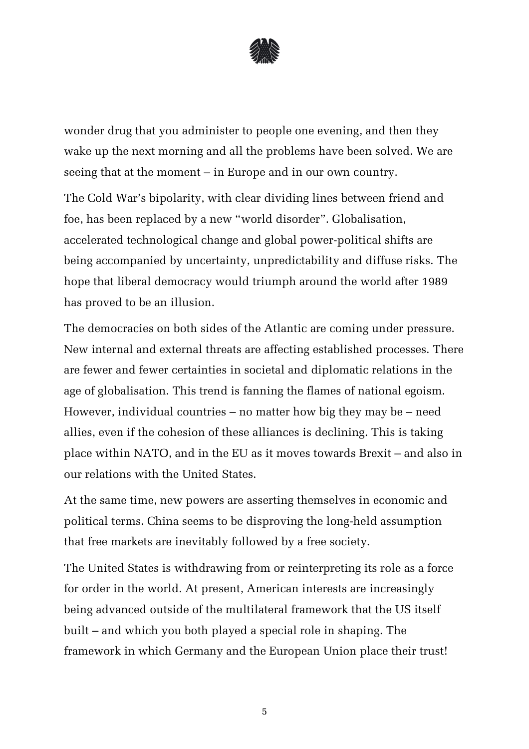

wonder drug that you administer to people one evening, and then they wake up the next morning and all the problems have been solved. We are seeing that at the moment – in Europe and in our own country.

The Cold War's bipolarity, with clear dividing lines between friend and foe, has been replaced by a new "world disorder". Globalisation, accelerated technological change and global power-political shifts are being accompanied by uncertainty, unpredictability and diffuse risks. The hope that liberal democracy would triumph around the world after 1989 has proved to be an illusion.

The democracies on both sides of the Atlantic are coming under pressure. New internal and external threats are affecting established processes. There are fewer and fewer certainties in societal and diplomatic relations in the age of globalisation. This trend is fanning the flames of national egoism. However, individual countries – no matter how big they may be – need allies, even if the cohesion of these alliances is declining. This is taking place within NATO, and in the EU as it moves towards Brexit – and also in our relations with the United States.

At the same time, new powers are asserting themselves in economic and political terms. China seems to be disproving the long-held assumption that free markets are inevitably followed by a free society.

The United States is withdrawing from or reinterpreting its role as a force for order in the world. At present, American interests are increasingly being advanced outside of the multilateral framework that the US itself built – and which you both played a special role in shaping. The framework in which Germany and the European Union place their trust!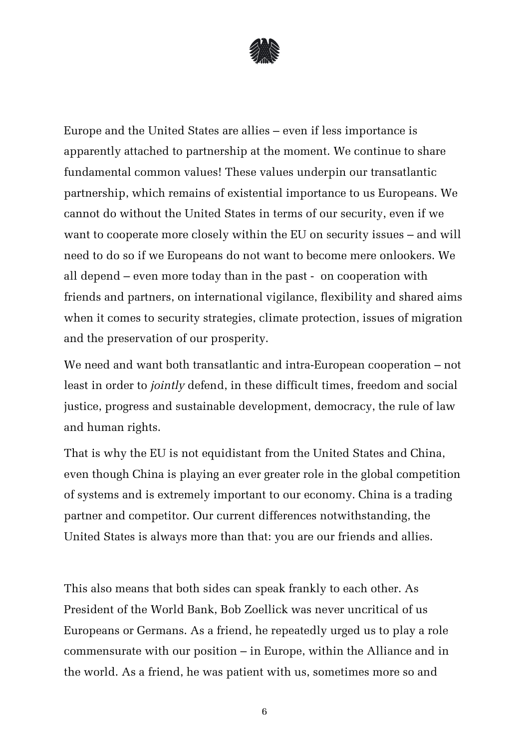

Europe and the United States are allies – even if less importance is apparently attached to partnership at the moment. We continue to share fundamental common values! These values underpin our transatlantic partnership, which remains of existential importance to us Europeans. We cannot do without the United States in terms of our security, even if we want to cooperate more closely within the EU on security issues – and will need to do so if we Europeans do not want to become mere onlookers. We all depend – even more today than in the past - on cooperation with friends and partners, on international vigilance, flexibility and shared aims when it comes to security strategies, climate protection, issues of migration and the preservation of our prosperity.

We need and want both transatlantic and intra-European cooperation – not least in order to *jointly* defend, in these difficult times, freedom and social justice, progress and sustainable development, democracy, the rule of law and human rights.

That is why the EU is not equidistant from the United States and China, even though China is playing an ever greater role in the global competition of systems and is extremely important to our economy. China is a trading partner and competitor. Our current differences notwithstanding, the United States is always more than that: you are our friends and allies.

This also means that both sides can speak frankly to each other. As President of the World Bank, Bob Zoellick was never uncritical of us Europeans or Germans. As a friend, he repeatedly urged us to play a role commensurate with our position – in Europe, within the Alliance and in the world. As a friend, he was patient with us, sometimes more so and